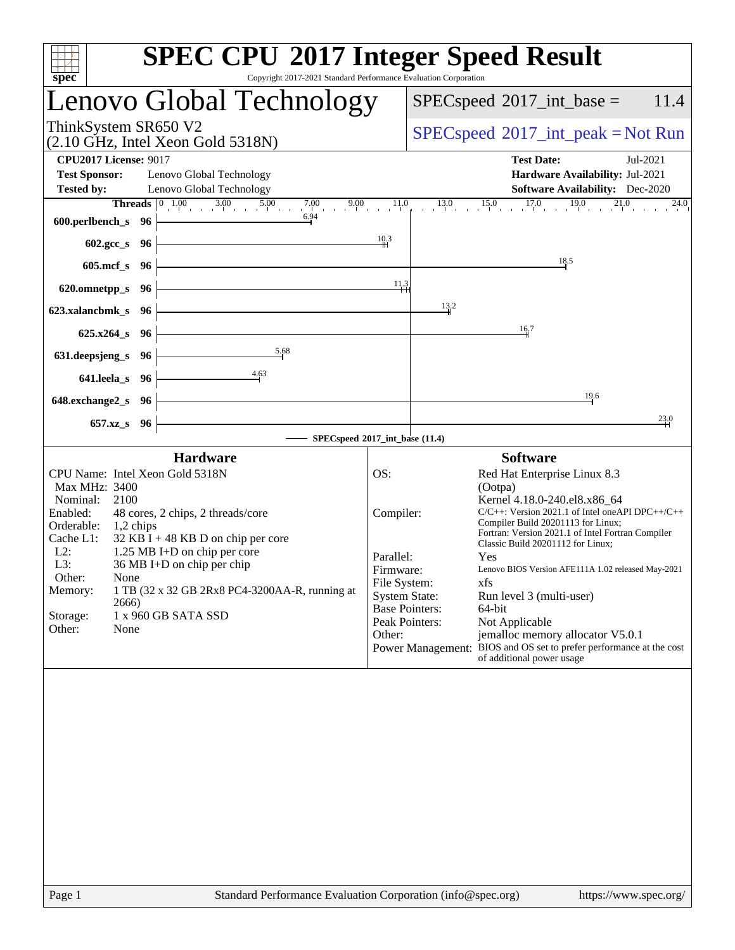| <b>SPEC CPU®2017 Integer Speed Result</b><br>Copyright 2017-2021 Standard Performance Evaluation Corporation                                                                                                                                                                                                                                                                                                                                                                                                                                                                                                                                                                                     |
|--------------------------------------------------------------------------------------------------------------------------------------------------------------------------------------------------------------------------------------------------------------------------------------------------------------------------------------------------------------------------------------------------------------------------------------------------------------------------------------------------------------------------------------------------------------------------------------------------------------------------------------------------------------------------------------------------|
| Lenovo Global Technology<br>$SPEC speed^{\circ}2017\_int\_base =$<br>11.4                                                                                                                                                                                                                                                                                                                                                                                                                                                                                                                                                                                                                        |
| $SPEC speed^{\circ}2017\_int\_peak = Not Run$                                                                                                                                                                                                                                                                                                                                                                                                                                                                                                                                                                                                                                                    |
| <b>Test Date:</b><br>Jul-2021<br>Hardware Availability: Jul-2021<br><b>Software Availability:</b> Dec-2020                                                                                                                                                                                                                                                                                                                                                                                                                                                                                                                                                                                       |
| $13.0$ $15.0$ $17.0$ $19.0$ $21.0$<br><b>Threads</b> $\begin{array}{ccc c} 0 & 1.00 & 3.00 & 5.00 & 7.00 & 9.00 & 11.0 \\ 1.0 & 3.00 & 5.00 & 7.00 & 9.00 & 11.0 \\ 0 & 0 & 0 & 0 & 0 & 0 \end{array}$<br>24.0                                                                                                                                                                                                                                                                                                                                                                                                                                                                                   |
| $\frac{10.3}{10}$<br>18.5                                                                                                                                                                                                                                                                                                                                                                                                                                                                                                                                                                                                                                                                        |
| 11.3                                                                                                                                                                                                                                                                                                                                                                                                                                                                                                                                                                                                                                                                                             |
| 13.2                                                                                                                                                                                                                                                                                                                                                                                                                                                                                                                                                                                                                                                                                             |
| 16.7                                                                                                                                                                                                                                                                                                                                                                                                                                                                                                                                                                                                                                                                                             |
|                                                                                                                                                                                                                                                                                                                                                                                                                                                                                                                                                                                                                                                                                                  |
| 19.6                                                                                                                                                                                                                                                                                                                                                                                                                                                                                                                                                                                                                                                                                             |
| $\stackrel{23.0}{\rightarrow}$                                                                                                                                                                                                                                                                                                                                                                                                                                                                                                                                                                                                                                                                   |
| SPECspeed®2017_int_base (11.4)                                                                                                                                                                                                                                                                                                                                                                                                                                                                                                                                                                                                                                                                   |
| <b>Software</b><br>OS:<br>Red Hat Enterprise Linux 8.3<br>(Ootpa)<br>Kernel 4.18.0-240.el8.x86_64<br>$C/C++$ : Version 2021.1 of Intel one API DPC++/C++<br>Compiler:<br>Compiler Build 20201113 for Linux;<br>Fortran: Version 2021.1 of Intel Fortran Compiler<br>Classic Build 20201112 for Linux;<br>Parallel:<br>Yes<br>Lenovo BIOS Version AFE111A 1.02 released May-2021<br>Firmware:<br>File System:<br>xfs<br><b>System State:</b><br>Run level 3 (multi-user)<br><b>Base Pointers:</b><br>64-bit<br>Peak Pointers:<br>Not Applicable<br>jemalloc memory allocator V5.0.1<br>Other:<br>Power Management: BIOS and OS set to prefer performance at the cost<br>of additional power usage |
|                                                                                                                                                                                                                                                                                                                                                                                                                                                                                                                                                                                                                                                                                                  |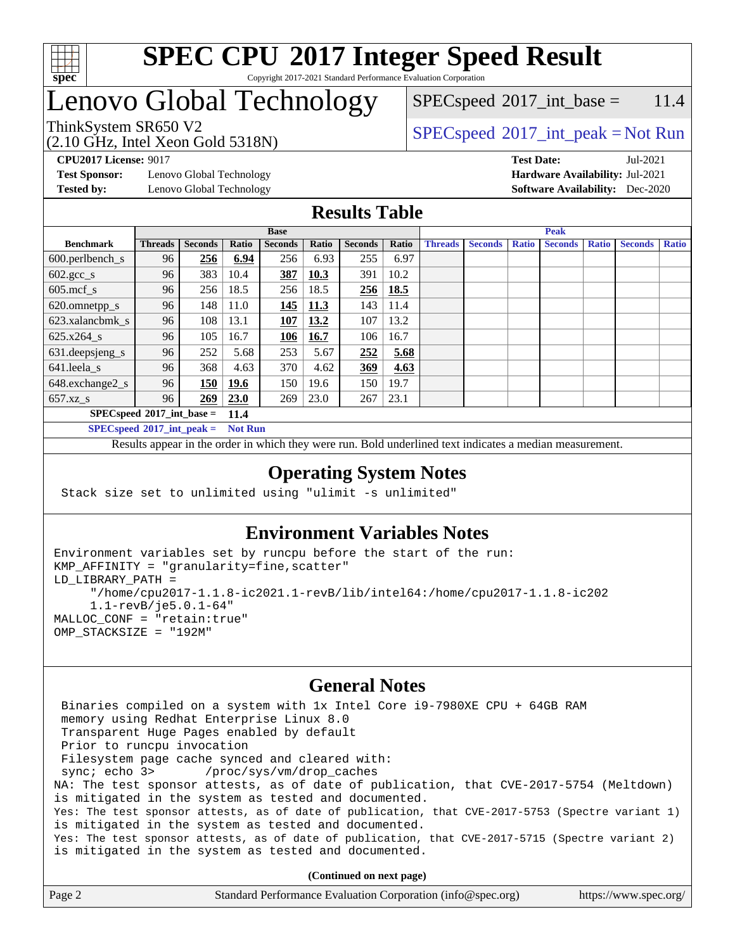

#### **[SPEC CPU](http://www.spec.org/auto/cpu2017/Docs/result-fields.html#SPECCPU2017IntegerSpeedResult)[2017 Integer Speed Result](http://www.spec.org/auto/cpu2017/Docs/result-fields.html#SPECCPU2017IntegerSpeedResult)** Copyright 2017-2021 Standard Performance Evaluation Corporation

# Lenovo Global Technology

 $SPECspeed^{\circ}2017\_int\_base = 11.4$  $SPECspeed^{\circ}2017\_int\_base = 11.4$ 

#### (2.10 GHz, Intel Xeon Gold 5318N) ThinkSystem SR650 V2  $SPECspeed^{\circ}2017\_int\_peak = Not Run$  $SPECspeed^{\circ}2017\_int\_peak = Not Run$

**[Test Sponsor:](http://www.spec.org/auto/cpu2017/Docs/result-fields.html#TestSponsor)** Lenovo Global Technology **[Hardware Availability:](http://www.spec.org/auto/cpu2017/Docs/result-fields.html#HardwareAvailability)** Jul-2021 **[Tested by:](http://www.spec.org/auto/cpu2017/Docs/result-fields.html#Testedby)** Lenovo Global Technology **[Software Availability:](http://www.spec.org/auto/cpu2017/Docs/result-fields.html#SoftwareAvailability)** Dec-2020

**[CPU2017 License:](http://www.spec.org/auto/cpu2017/Docs/result-fields.html#CPU2017License)** 9017 **[Test Date:](http://www.spec.org/auto/cpu2017/Docs/result-fields.html#TestDate)** Jul-2021

#### **[Results Table](http://www.spec.org/auto/cpu2017/Docs/result-fields.html#ResultsTable)**

|                             | <b>Base</b>    |                |       |                | <b>Peak</b> |                |       |                |                |              |                |              |                |              |
|-----------------------------|----------------|----------------|-------|----------------|-------------|----------------|-------|----------------|----------------|--------------|----------------|--------------|----------------|--------------|
| <b>Benchmark</b>            | <b>Threads</b> | <b>Seconds</b> | Ratio | <b>Seconds</b> | Ratio       | <b>Seconds</b> | Ratio | <b>Threads</b> | <b>Seconds</b> | <b>Ratio</b> | <b>Seconds</b> | <b>Ratio</b> | <b>Seconds</b> | <b>Ratio</b> |
| $600.$ perlbench_s          | 96             | 256            | 6.94  | 256            | 6.93        | 255            | 6.97  |                |                |              |                |              |                |              |
| $602.\text{gcc}\_\text{s}$  | 96             | 383            | 10.4  | 387            | 10.3        | 391            | 10.2  |                |                |              |                |              |                |              |
| $605$ .mcf s                | 96             | 256            | 18.5  | 256            | 18.5        | 256            | 18.5  |                |                |              |                |              |                |              |
| 620.omnetpp_s               | 96             | 148            | 11.0  | 145            | <u>11.3</u> | 143            | 11.4  |                |                |              |                |              |                |              |
| 623.xalancbmk s             | 96             | 108            | 13.1  | 107            | 13.2        | 107            | 13.2  |                |                |              |                |              |                |              |
| 625.x264 s                  | 96             | 105            | 16.7  | 106            | 16.7        | 106            | 16.7  |                |                |              |                |              |                |              |
| 631.deepsjeng_s             | 96             | 252            | 5.68  | 253            | 5.67        | 252            | 5.68  |                |                |              |                |              |                |              |
| 641.leela s                 | 96             | 368            | 4.63  | 370            | 4.62        | 369            | 4.63  |                |                |              |                |              |                |              |
| 648.exchange2_s             | 96             | 150            | 19.6  | 150            | 19.6        | 150            | 19.7  |                |                |              |                |              |                |              |
| $657.xz$ s                  | 96             | 269            | 23.0  | 269            | 23.0        | 267            | 23.1  |                |                |              |                |              |                |              |
| $SPECspeed*2017$ int base = |                |                | 11.4  |                |             |                |       |                |                |              |                |              |                |              |

**[SPECspeed](http://www.spec.org/auto/cpu2017/Docs/result-fields.html#SPECspeed2017intpeak)[2017\\_int\\_peak =](http://www.spec.org/auto/cpu2017/Docs/result-fields.html#SPECspeed2017intpeak) Not Run**

Results appear in the [order in which they were run.](http://www.spec.org/auto/cpu2017/Docs/result-fields.html#RunOrder) Bold underlined text [indicates a median measurement.](http://www.spec.org/auto/cpu2017/Docs/result-fields.html#Median)

#### **[Operating System Notes](http://www.spec.org/auto/cpu2017/Docs/result-fields.html#OperatingSystemNotes)**

Stack size set to unlimited using "ulimit -s unlimited"

### **[Environment Variables Notes](http://www.spec.org/auto/cpu2017/Docs/result-fields.html#EnvironmentVariablesNotes)**

```
Environment variables set by runcpu before the start of the run:
KMP_AFFINITY = "granularity=fine,scatter"
LD_LIBRARY_PATH =
      "/home/cpu2017-1.1.8-ic2021.1-revB/lib/intel64:/home/cpu2017-1.1.8-ic202
      1.1-revB/je5.0.1-64"
MALLOC_CONF = "retain:true"
OMP_STACKSIZE = "192M"
```
#### **[General Notes](http://www.spec.org/auto/cpu2017/Docs/result-fields.html#GeneralNotes)**

 Binaries compiled on a system with 1x Intel Core i9-7980XE CPU + 64GB RAM memory using Redhat Enterprise Linux 8.0 Transparent Huge Pages enabled by default Prior to runcpu invocation Filesystem page cache synced and cleared with: sync; echo 3> /proc/sys/vm/drop\_caches NA: The test sponsor attests, as of date of publication, that CVE-2017-5754 (Meltdown) is mitigated in the system as tested and documented. Yes: The test sponsor attests, as of date of publication, that CVE-2017-5753 (Spectre variant 1) is mitigated in the system as tested and documented. Yes: The test sponsor attests, as of date of publication, that CVE-2017-5715 (Spectre variant 2) is mitigated in the system as tested and documented.

**(Continued on next page)**

| Page 2 | Standard Performance Evaluation Corporation (info@spec.org) | https://www.spec.org/ |
|--------|-------------------------------------------------------------|-----------------------|
|--------|-------------------------------------------------------------|-----------------------|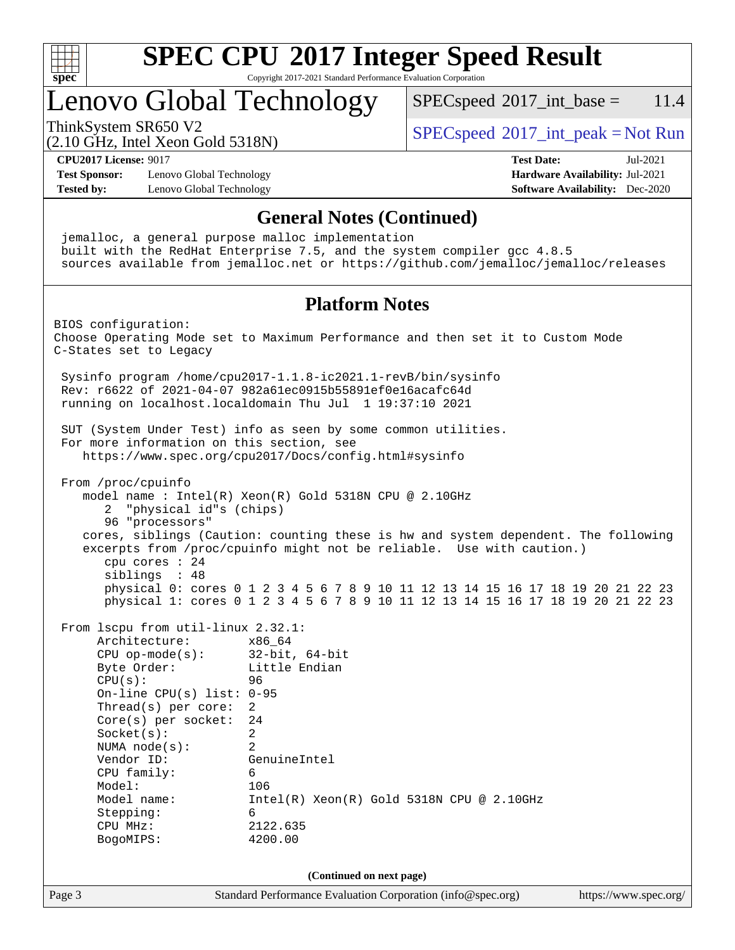

Copyright 2017-2021 Standard Performance Evaluation Corporation

# Lenovo Global Technology

 $SPECspeed^{\circ}2017\_int\_base = 11.4$  $SPECspeed^{\circ}2017\_int\_base = 11.4$ 

(2.10 GHz, Intel Xeon Gold 5318N)

ThinkSystem SR650 V2  $SPEC speed^{\circ}2017\_int\_peak = Not Run$ 

**[CPU2017 License:](http://www.spec.org/auto/cpu2017/Docs/result-fields.html#CPU2017License)** 9017 **[Test Date:](http://www.spec.org/auto/cpu2017/Docs/result-fields.html#TestDate)** Jul-2021

**[Test Sponsor:](http://www.spec.org/auto/cpu2017/Docs/result-fields.html#TestSponsor)** Lenovo Global Technology **[Hardware Availability:](http://www.spec.org/auto/cpu2017/Docs/result-fields.html#HardwareAvailability)** Jul-2021 **[Tested by:](http://www.spec.org/auto/cpu2017/Docs/result-fields.html#Testedby)** Lenovo Global Technology **[Software Availability:](http://www.spec.org/auto/cpu2017/Docs/result-fields.html#SoftwareAvailability)** Dec-2020

#### **[General Notes \(Continued\)](http://www.spec.org/auto/cpu2017/Docs/result-fields.html#GeneralNotes)**

Page 3 Standard Performance Evaluation Corporation [\(info@spec.org\)](mailto:info@spec.org) <https://www.spec.org/> jemalloc, a general purpose malloc implementation built with the RedHat Enterprise 7.5, and the system compiler gcc 4.8.5 sources available from jemalloc.net or <https://github.com/jemalloc/jemalloc/releases> **[Platform Notes](http://www.spec.org/auto/cpu2017/Docs/result-fields.html#PlatformNotes)** BIOS configuration: Choose Operating Mode set to Maximum Performance and then set it to Custom Mode C-States set to Legacy Sysinfo program /home/cpu2017-1.1.8-ic2021.1-revB/bin/sysinfo Rev: r6622 of 2021-04-07 982a61ec0915b55891ef0e16acafc64d running on localhost.localdomain Thu Jul 1 19:37:10 2021 SUT (System Under Test) info as seen by some common utilities. For more information on this section, see <https://www.spec.org/cpu2017/Docs/config.html#sysinfo> From /proc/cpuinfo model name : Intel(R) Xeon(R) Gold 5318N CPU @ 2.10GHz 2 "physical id"s (chips) 96 "processors" cores, siblings (Caution: counting these is hw and system dependent. The following excerpts from /proc/cpuinfo might not be reliable. Use with caution.) cpu cores : 24 siblings : 48 physical 0: cores 0 1 2 3 4 5 6 7 8 9 10 11 12 13 14 15 16 17 18 19 20 21 22 23 physical 1: cores 0 1 2 3 4 5 6 7 8 9 10 11 12 13 14 15 16 17 18 19 20 21 22 23 From lscpu from util-linux 2.32.1: Architecture: x86\_64 CPU op-mode(s): 32-bit, 64-bit Byte Order: Little Endian CPU(s): 96 On-line CPU(s) list: 0-95 Thread(s) per core: 2 Core(s) per socket: 24 Socket(s): 2 NUMA node(s): 2 Vendor ID: GenuineIntel CPU family: 6 Model: 106 Model name: Intel(R) Xeon(R) Gold 5318N CPU @ 2.10GHz Stepping: 6 CPU MHz: 2122.635 BogoMIPS: 4200.00 **(Continued on next page)**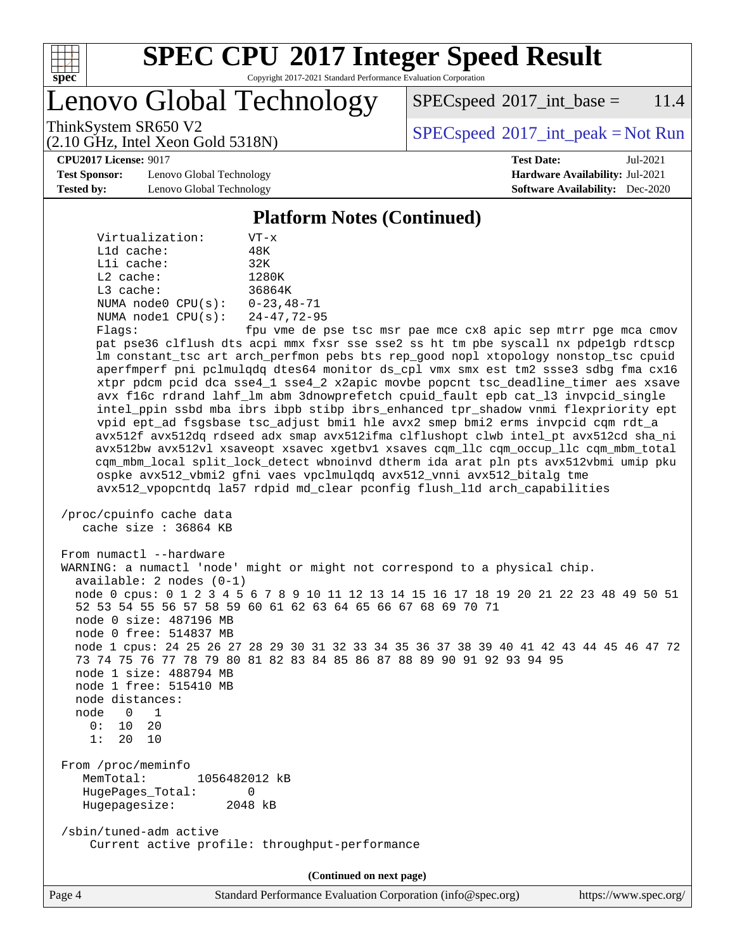

Copyright 2017-2021 Standard Performance Evaluation Corporation

Lenovo Global Technology

 $SPEC speed^{\circ}2017\_int\_base = 11.4$ 

(2.10 GHz, Intel Xeon Gold 5318N)

ThinkSystem SR650 V2  $SPEC speed^{\circ}2017\_int\_peak = Not Run$ 

**[CPU2017 License:](http://www.spec.org/auto/cpu2017/Docs/result-fields.html#CPU2017License)** 9017 **[Test Date:](http://www.spec.org/auto/cpu2017/Docs/result-fields.html#TestDate)** Jul-2021

**[Test Sponsor:](http://www.spec.org/auto/cpu2017/Docs/result-fields.html#TestSponsor)** Lenovo Global Technology **[Hardware Availability:](http://www.spec.org/auto/cpu2017/Docs/result-fields.html#HardwareAvailability)** Jul-2021 **[Tested by:](http://www.spec.org/auto/cpu2017/Docs/result-fields.html#Testedby)** Lenovo Global Technology **[Software Availability:](http://www.spec.org/auto/cpu2017/Docs/result-fields.html#SoftwareAvailability)** Dec-2020

#### **[Platform Notes \(Continued\)](http://www.spec.org/auto/cpu2017/Docs/result-fields.html#PlatformNotes)**

| Virtualization:         | $VT - x$           |
|-------------------------|--------------------|
| $L1d$ cache:            | 48K                |
| Lli cache:              | 32K                |
| $L2$ cache:             | 1280K              |
| $L3$ cache:             | 36864K             |
| NUMA $node0$ $CPU(s)$ : | $0 - 23.48 - 71$   |
| NUMA $node1$ $CPU(s):$  | $24 - 47, 72 - 95$ |
| $Fla$ as:               | fpu vme de p:      |

pse tsc msr pae mce cx8 apic sep mtrr pge mca cmov pat pse36 clflush dts acpi mmx fxsr sse sse2 ss ht tm pbe syscall nx pdpe1gb rdtscp lm constant\_tsc art arch\_perfmon pebs bts rep\_good nopl xtopology nonstop\_tsc cpuid aperfmperf pni pclmulqdq dtes64 monitor ds\_cpl vmx smx est tm2 ssse3 sdbg fma cx16 xtpr pdcm pcid dca sse4\_1 sse4\_2 x2apic movbe popcnt tsc\_deadline\_timer aes xsave avx f16c rdrand lahf\_lm abm 3dnowprefetch cpuid\_fault epb cat\_l3 invpcid\_single intel\_ppin ssbd mba ibrs ibpb stibp ibrs\_enhanced tpr\_shadow vnmi flexpriority ept vpid ept\_ad fsgsbase tsc\_adjust bmi1 hle avx2 smep bmi2 erms invpcid cqm rdt\_a avx512f avx512dq rdseed adx smap avx512ifma clflushopt clwb intel\_pt avx512cd sha\_ni avx512bw avx512vl xsaveopt xsavec xgetbv1 xsaves cqm\_llc cqm\_occup\_llc cqm\_mbm\_total cqm\_mbm\_local split\_lock\_detect wbnoinvd dtherm ida arat pln pts avx512vbmi umip pku ospke avx512\_vbmi2 gfni vaes vpclmulqdq avx512\_vnni avx512\_bitalg tme avx512\_vpopcntdq la57 rdpid md\_clear pconfig flush\_l1d arch\_capabilities

```
 /proc/cpuinfo cache data
    cache size : 36864 KB
```
From numactl --hardware WARNING: a numactl 'node' might or might not correspond to a physical chip. available: 2 nodes (0-1) node 0 cpus: 0 1 2 3 4 5 6 7 8 9 10 11 12 13 14 15 16 17 18 19 20 21 22 23 48 49 50 51 52 53 54 55 56 57 58 59 60 61 62 63 64 65 66 67 68 69 70 71 node 0 size: 487196 MB node 0 free: 514837 MB node 1 cpus: 24 25 26 27 28 29 30 31 32 33 34 35 36 37 38 39 40 41 42 43 44 45 46 47 72 73 74 75 76 77 78 79 80 81 82 83 84 85 86 87 88 89 90 91 92 93 94 95 node 1 size: 488794 MB node 1 free: 515410 MB node distances: node 0 1  $0: 10 20$  1: 20 10 From /proc/meminfo MemTotal: 1056482012 kB HugePages\_Total: 0 Hugepagesize: 2048 kB /sbin/tuned-adm active Current active profile: throughput-performance

**(Continued on next page)**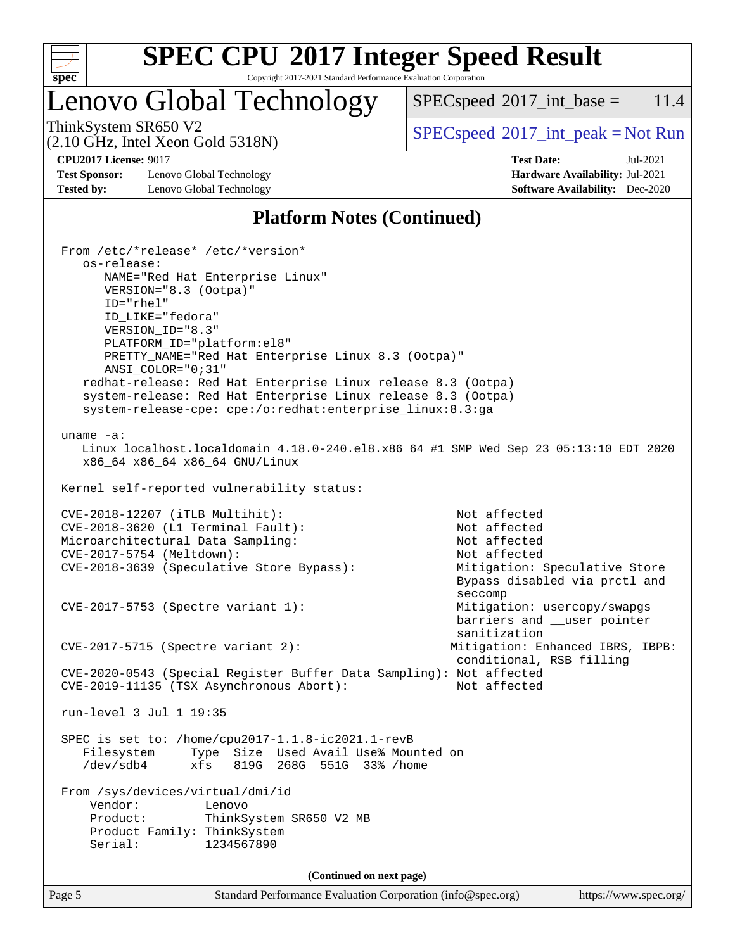

Copyright 2017-2021 Standard Performance Evaluation Corporation

## Lenovo Global Technology

 $SPECspeed^{\circ}2017\_int\_base = 11.4$  $SPECspeed^{\circ}2017\_int\_base = 11.4$ 

(2.10 GHz, Intel Xeon Gold 5318N)

ThinkSystem SR650 V2  $SPECspeed^{\circ}2017\_int\_peak = Not Run$  $SPECspeed^{\circ}2017\_int\_peak = Not Run$ 

**[Test Sponsor:](http://www.spec.org/auto/cpu2017/Docs/result-fields.html#TestSponsor)** Lenovo Global Technology **[Hardware Availability:](http://www.spec.org/auto/cpu2017/Docs/result-fields.html#HardwareAvailability)** Jul-2021 **[Tested by:](http://www.spec.org/auto/cpu2017/Docs/result-fields.html#Testedby)** Lenovo Global Technology **[Software Availability:](http://www.spec.org/auto/cpu2017/Docs/result-fields.html#SoftwareAvailability)** Dec-2020

**[CPU2017 License:](http://www.spec.org/auto/cpu2017/Docs/result-fields.html#CPU2017License)** 9017 **[Test Date:](http://www.spec.org/auto/cpu2017/Docs/result-fields.html#TestDate)** Jul-2021

### **[Platform Notes \(Continued\)](http://www.spec.org/auto/cpu2017/Docs/result-fields.html#PlatformNotes)**

Page 5 Standard Performance Evaluation Corporation [\(info@spec.org\)](mailto:info@spec.org) <https://www.spec.org/> From /etc/\*release\* /etc/\*version\* os-release: NAME="Red Hat Enterprise Linux" VERSION="8.3 (Ootpa)" ID="rhel" ID\_LIKE="fedora" VERSION\_ID="8.3" PLATFORM\_ID="platform:el8" PRETTY\_NAME="Red Hat Enterprise Linux 8.3 (Ootpa)" ANSI\_COLOR="0;31" redhat-release: Red Hat Enterprise Linux release 8.3 (Ootpa) system-release: Red Hat Enterprise Linux release 8.3 (Ootpa) system-release-cpe: cpe:/o:redhat:enterprise\_linux:8.3:ga uname -a: Linux localhost.localdomain 4.18.0-240.el8.x86\_64 #1 SMP Wed Sep 23 05:13:10 EDT 2020 x86\_64 x86\_64 x86\_64 GNU/Linux Kernel self-reported vulnerability status: CVE-2018-12207 (iTLB Multihit): Not affected CVE-2018-3620 (L1 Terminal Fault): Not affected Microarchitectural Data Sampling: Not affected CVE-2017-5754 (Meltdown): Not affected CVE-2018-3639 (Speculative Store Bypass): Mitigation: Speculative Store Bypass disabled via prctl and seccompany and the contract of the contract of the contract of the second seconds of the contract of the contract of the contract of the contract of the contract of the contract of the contract of the contract of the contr CVE-2017-5753 (Spectre variant 1): Mitigation: usercopy/swapgs barriers and \_\_user pointer sanitization CVE-2017-5715 (Spectre variant 2): Mitigation: Enhanced IBRS, IBPB: conditional, RSB filling CVE-2020-0543 (Special Register Buffer Data Sampling): Not affected CVE-2019-11135 (TSX Asynchronous Abort): Not affected run-level 3 Jul 1 19:35 SPEC is set to: /home/cpu2017-1.1.8-ic2021.1-revB Filesystem Type Size Used Avail Use% Mounted on /dev/sdb4 xfs 819G 268G 551G 33% /home From /sys/devices/virtual/dmi/id Vendor: Lenovo Product: ThinkSystem SR650 V2 MB Product Family: ThinkSystem Serial: 1234567890 **(Continued on next page)**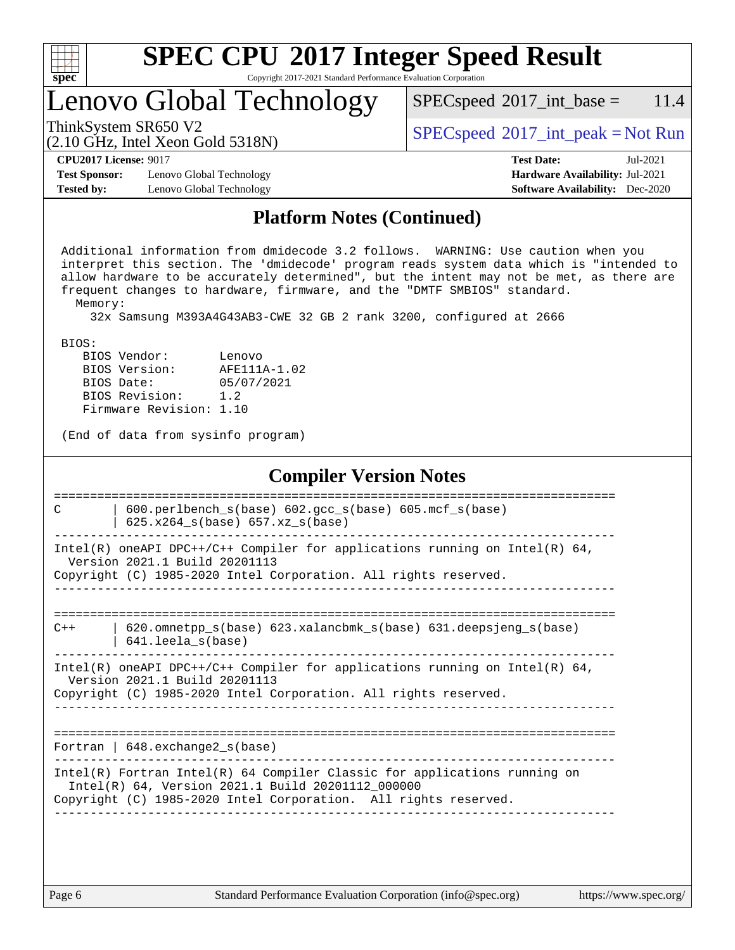| u | H | r |  |
|---|---|---|--|

Copyright 2017-2021 Standard Performance Evaluation Corporation

## Lenovo Global Technology

ThinkSystem SR650 V2  $SPECspeed^{\circ}2017\_int\_peak = Not Run$  $SPECspeed^{\circ}2017\_int\_peak = Not Run$ 

 $SPECspeed^{\circ}2017\_int\_base = 11.4$  $SPECspeed^{\circ}2017\_int\_base = 11.4$ 

#### (2.10 GHz, Intel Xeon Gold 5318N)

**[CPU2017 License:](http://www.spec.org/auto/cpu2017/Docs/result-fields.html#CPU2017License)** 9017 **[Test Date:](http://www.spec.org/auto/cpu2017/Docs/result-fields.html#TestDate)** Jul-2021

**[Test Sponsor:](http://www.spec.org/auto/cpu2017/Docs/result-fields.html#TestSponsor)** Lenovo Global Technology **[Hardware Availability:](http://www.spec.org/auto/cpu2017/Docs/result-fields.html#HardwareAvailability)** Jul-2021 **[Tested by:](http://www.spec.org/auto/cpu2017/Docs/result-fields.html#Testedby)** Lenovo Global Technology **[Software Availability:](http://www.spec.org/auto/cpu2017/Docs/result-fields.html#SoftwareAvailability)** Dec-2020

# **[Platform Notes \(Continued\)](http://www.spec.org/auto/cpu2017/Docs/result-fields.html#PlatformNotes)**

 Additional information from dmidecode 3.2 follows. WARNING: Use caution when you interpret this section. The 'dmidecode' program reads system data which is "intended to allow hardware to be accurately determined", but the intent may not be met, as there are frequent changes to hardware, firmware, and the "DMTF SMBIOS" standard. Memory:

32x Samsung M393A4G43AB3-CWE 32 GB 2 rank 3200, configured at 2666

BIOS:

| BIOS Vendor:            | Lenovo       |
|-------------------------|--------------|
| BIOS Version:           | AFE111A-1.02 |
| BIOS Date:              | 05/07/2021   |
| BIOS Revision:          | 1.2          |
| Firmware Revision: 1.10 |              |

(End of data from sysinfo program)

#### **[Compiler Version Notes](http://www.spec.org/auto/cpu2017/Docs/result-fields.html#CompilerVersionNotes)**

| C     | $600. perlbench_s(base) 602. gcc_s(base) 605. mcf_s(base)$<br>625.x264 s(base) 657.xz s(base)                                                                                                       |
|-------|-----------------------------------------------------------------------------------------------------------------------------------------------------------------------------------------------------|
|       | Intel(R) oneAPI DPC++/C++ Compiler for applications running on Intel(R) $64$ ,<br>Version 2021.1 Build 20201113<br>Copyright (C) 1985-2020 Intel Corporation. All rights reserved.                  |
| $C++$ | $620$ .omnetpp $s(base)$ 623.xalancbmk $s(base)$ 631.deepsjeng $s(base)$<br>$641.$ leela_s(base)                                                                                                    |
|       | Intel(R) oneAPI DPC++/C++ Compiler for applications running on Intel(R) $64$ ,<br>Version 2021.1 Build 20201113<br>Copyright (C) 1985-2020 Intel Corporation. All rights reserved.                  |
|       | Fortran   $648$ . exchange $2_s$ (base)                                                                                                                                                             |
|       | $Intel(R)$ Fortran Intel(R) 64 Compiler Classic for applications running on<br>Intel(R) 64, Version 2021.1 Build 20201112 000000<br>Copyright (C) 1985-2020 Intel Corporation. All rights reserved. |
|       |                                                                                                                                                                                                     |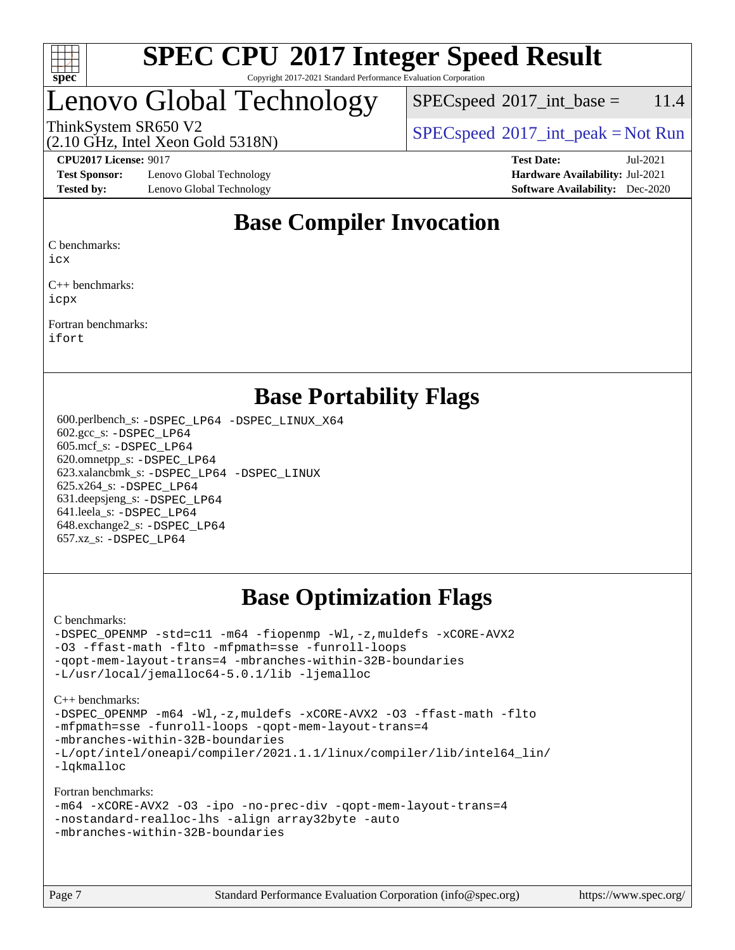

#### **[SPEC CPU](http://www.spec.org/auto/cpu2017/Docs/result-fields.html#SPECCPU2017IntegerSpeedResult)[2017 Integer Speed Result](http://www.spec.org/auto/cpu2017/Docs/result-fields.html#SPECCPU2017IntegerSpeedResult)** Copyright 2017-2021 Standard Performance Evaluation Corporation

## Lenovo Global Technology

 $SPEC speed^{\circ}2017\_int\_base = 11.4$ 

(2.10 GHz, Intel Xeon Gold 5318N)

ThinkSystem SR650 V2  $SPEC speed^{\circ}2017\_int\_peak = Not Run$ 

**[Test Sponsor:](http://www.spec.org/auto/cpu2017/Docs/result-fields.html#TestSponsor)** Lenovo Global Technology **[Hardware Availability:](http://www.spec.org/auto/cpu2017/Docs/result-fields.html#HardwareAvailability)** Jul-2021 **[Tested by:](http://www.spec.org/auto/cpu2017/Docs/result-fields.html#Testedby)** Lenovo Global Technology **[Software Availability:](http://www.spec.org/auto/cpu2017/Docs/result-fields.html#SoftwareAvailability)** Dec-2020

**[CPU2017 License:](http://www.spec.org/auto/cpu2017/Docs/result-fields.html#CPU2017License)** 9017 **[Test Date:](http://www.spec.org/auto/cpu2017/Docs/result-fields.html#TestDate)** Jul-2021

### **[Base Compiler Invocation](http://www.spec.org/auto/cpu2017/Docs/result-fields.html#BaseCompilerInvocation)**

[C benchmarks:](http://www.spec.org/auto/cpu2017/Docs/result-fields.html#Cbenchmarks)

[icx](http://www.spec.org/cpu2017/results/res2021q3/cpu2017-20210706-28115.flags.html#user_CCbase_intel_icx_fe2d28d19ae2a5db7c42fe0f2a2aed77cb715edd4aeb23434404a8be6683fe239869bb6ca8154ca98265c2e3b9226a719a0efe2953a4a7018c379b7010ccf087)

[C++ benchmarks](http://www.spec.org/auto/cpu2017/Docs/result-fields.html#CXXbenchmarks): [icpx](http://www.spec.org/cpu2017/results/res2021q3/cpu2017-20210706-28115.flags.html#user_CXXbase_intel_icpx_1e918ed14c436bf4b9b7c8bcdd51d4539fc71b3df010bd1e9f8732d9c34c2b2914e48204a846820f3c0ebb4095dea797a5c30b458ac0b6dffac65d78f781f5ca)

[Fortran benchmarks:](http://www.spec.org/auto/cpu2017/Docs/result-fields.html#Fortranbenchmarks) [ifort](http://www.spec.org/cpu2017/results/res2021q3/cpu2017-20210706-28115.flags.html#user_FCbase_intel_ifort_8111460550e3ca792625aed983ce982f94888b8b503583aa7ba2b8303487b4d8a21a13e7191a45c5fd58ff318f48f9492884d4413fa793fd88dd292cad7027ca)

### **[Base Portability Flags](http://www.spec.org/auto/cpu2017/Docs/result-fields.html#BasePortabilityFlags)**

 600.perlbench\_s: [-DSPEC\\_LP64](http://www.spec.org/cpu2017/results/res2021q3/cpu2017-20210706-28115.flags.html#b600.perlbench_s_basePORTABILITY_DSPEC_LP64) [-DSPEC\\_LINUX\\_X64](http://www.spec.org/cpu2017/results/res2021q3/cpu2017-20210706-28115.flags.html#b600.perlbench_s_baseCPORTABILITY_DSPEC_LINUX_X64) 602.gcc\_s: [-DSPEC\\_LP64](http://www.spec.org/cpu2017/results/res2021q3/cpu2017-20210706-28115.flags.html#suite_basePORTABILITY602_gcc_s_DSPEC_LP64) 605.mcf\_s: [-DSPEC\\_LP64](http://www.spec.org/cpu2017/results/res2021q3/cpu2017-20210706-28115.flags.html#suite_basePORTABILITY605_mcf_s_DSPEC_LP64) 620.omnetpp\_s: [-DSPEC\\_LP64](http://www.spec.org/cpu2017/results/res2021q3/cpu2017-20210706-28115.flags.html#suite_basePORTABILITY620_omnetpp_s_DSPEC_LP64) 623.xalancbmk\_s: [-DSPEC\\_LP64](http://www.spec.org/cpu2017/results/res2021q3/cpu2017-20210706-28115.flags.html#suite_basePORTABILITY623_xalancbmk_s_DSPEC_LP64) [-DSPEC\\_LINUX](http://www.spec.org/cpu2017/results/res2021q3/cpu2017-20210706-28115.flags.html#b623.xalancbmk_s_baseCXXPORTABILITY_DSPEC_LINUX) 625.x264\_s: [-DSPEC\\_LP64](http://www.spec.org/cpu2017/results/res2021q3/cpu2017-20210706-28115.flags.html#suite_basePORTABILITY625_x264_s_DSPEC_LP64) 631.deepsjeng\_s: [-DSPEC\\_LP64](http://www.spec.org/cpu2017/results/res2021q3/cpu2017-20210706-28115.flags.html#suite_basePORTABILITY631_deepsjeng_s_DSPEC_LP64) 641.leela\_s: [-DSPEC\\_LP64](http://www.spec.org/cpu2017/results/res2021q3/cpu2017-20210706-28115.flags.html#suite_basePORTABILITY641_leela_s_DSPEC_LP64) 648.exchange2\_s: [-DSPEC\\_LP64](http://www.spec.org/cpu2017/results/res2021q3/cpu2017-20210706-28115.flags.html#suite_basePORTABILITY648_exchange2_s_DSPEC_LP64) 657.xz\_s: [-DSPEC\\_LP64](http://www.spec.org/cpu2017/results/res2021q3/cpu2017-20210706-28115.flags.html#suite_basePORTABILITY657_xz_s_DSPEC_LP64)

### **[Base Optimization Flags](http://www.spec.org/auto/cpu2017/Docs/result-fields.html#BaseOptimizationFlags)**

[C benchmarks](http://www.spec.org/auto/cpu2017/Docs/result-fields.html#Cbenchmarks):

[-DSPEC\\_OPENMP](http://www.spec.org/cpu2017/results/res2021q3/cpu2017-20210706-28115.flags.html#suite_CCbase_DSPEC_OPENMP) [-std=c11](http://www.spec.org/cpu2017/results/res2021q3/cpu2017-20210706-28115.flags.html#user_CCbase_std-icc-std_0e1c27790398a4642dfca32ffe6c27b5796f9c2d2676156f2e42c9c44eaad0c049b1cdb667a270c34d979996257aeb8fc440bfb01818dbc9357bd9d174cb8524) [-m64](http://www.spec.org/cpu2017/results/res2021q3/cpu2017-20210706-28115.flags.html#user_CCbase_m64-icc) [-fiopenmp](http://www.spec.org/cpu2017/results/res2021q3/cpu2017-20210706-28115.flags.html#user_CCbase_fiopenmp_4cde26b3fcccd23bd0bb70af4efc204325d72839eefa1147e34201101709f20b3deb62aad96701dea148529bf4ca48c90b72f3bf837ca148e297cf8a0ba6feb7) [-Wl,-z,muldefs](http://www.spec.org/cpu2017/results/res2021q3/cpu2017-20210706-28115.flags.html#user_CCbase_link_force_multiple1_b4cbdb97b34bdee9ceefcfe54f4c8ea74255f0b02a4b23e853cdb0e18eb4525ac79b5a88067c842dd0ee6996c24547a27a4b99331201badda8798ef8a743f577) [-xCORE-AVX2](http://www.spec.org/cpu2017/results/res2021q3/cpu2017-20210706-28115.flags.html#user_CCbase_f-xCORE-AVX2) [-O3](http://www.spec.org/cpu2017/results/res2021q3/cpu2017-20210706-28115.flags.html#user_CCbase_f-O3) [-ffast-math](http://www.spec.org/cpu2017/results/res2021q3/cpu2017-20210706-28115.flags.html#user_CCbase_f-ffast-math) [-flto](http://www.spec.org/cpu2017/results/res2021q3/cpu2017-20210706-28115.flags.html#user_CCbase_f-flto) [-mfpmath=sse](http://www.spec.org/cpu2017/results/res2021q3/cpu2017-20210706-28115.flags.html#user_CCbase_f-mfpmath_70eb8fac26bde974f8ab713bc9086c5621c0b8d2f6c86f38af0bd7062540daf19db5f3a066d8c6684be05d84c9b6322eb3b5be6619d967835195b93d6c02afa1) [-funroll-loops](http://www.spec.org/cpu2017/results/res2021q3/cpu2017-20210706-28115.flags.html#user_CCbase_f-funroll-loops) [-qopt-mem-layout-trans=4](http://www.spec.org/cpu2017/results/res2021q3/cpu2017-20210706-28115.flags.html#user_CCbase_f-qopt-mem-layout-trans_fa39e755916c150a61361b7846f310bcdf6f04e385ef281cadf3647acec3f0ae266d1a1d22d972a7087a248fd4e6ca390a3634700869573d231a252c784941a8) [-mbranches-within-32B-boundaries](http://www.spec.org/cpu2017/results/res2021q3/cpu2017-20210706-28115.flags.html#user_CCbase_f-mbranches-within-32B-boundaries) [-L/usr/local/jemalloc64-5.0.1/lib](http://www.spec.org/cpu2017/results/res2021q3/cpu2017-20210706-28115.flags.html#user_CCbase_jemalloc_link_path64_1_cc289568b1a6c0fd3b62c91b824c27fcb5af5e8098e6ad028160d21144ef1b8aef3170d2acf0bee98a8da324cfe4f67d0a3d0c4cc4673d993d694dc2a0df248b) [-ljemalloc](http://www.spec.org/cpu2017/results/res2021q3/cpu2017-20210706-28115.flags.html#user_CCbase_jemalloc_link_lib_d1249b907c500fa1c0672f44f562e3d0f79738ae9e3c4a9c376d49f265a04b9c99b167ecedbf6711b3085be911c67ff61f150a17b3472be731631ba4d0471706)

[C++ benchmarks:](http://www.spec.org/auto/cpu2017/Docs/result-fields.html#CXXbenchmarks)

[-DSPEC\\_OPENMP](http://www.spec.org/cpu2017/results/res2021q3/cpu2017-20210706-28115.flags.html#suite_CXXbase_DSPEC_OPENMP) [-m64](http://www.spec.org/cpu2017/results/res2021q3/cpu2017-20210706-28115.flags.html#user_CXXbase_m64-icc) [-Wl,-z,muldefs](http://www.spec.org/cpu2017/results/res2021q3/cpu2017-20210706-28115.flags.html#user_CXXbase_link_force_multiple1_b4cbdb97b34bdee9ceefcfe54f4c8ea74255f0b02a4b23e853cdb0e18eb4525ac79b5a88067c842dd0ee6996c24547a27a4b99331201badda8798ef8a743f577) [-xCORE-AVX2](http://www.spec.org/cpu2017/results/res2021q3/cpu2017-20210706-28115.flags.html#user_CXXbase_f-xCORE-AVX2) [-O3](http://www.spec.org/cpu2017/results/res2021q3/cpu2017-20210706-28115.flags.html#user_CXXbase_f-O3) [-ffast-math](http://www.spec.org/cpu2017/results/res2021q3/cpu2017-20210706-28115.flags.html#user_CXXbase_f-ffast-math) [-flto](http://www.spec.org/cpu2017/results/res2021q3/cpu2017-20210706-28115.flags.html#user_CXXbase_f-flto) [-mfpmath=sse](http://www.spec.org/cpu2017/results/res2021q3/cpu2017-20210706-28115.flags.html#user_CXXbase_f-mfpmath_70eb8fac26bde974f8ab713bc9086c5621c0b8d2f6c86f38af0bd7062540daf19db5f3a066d8c6684be05d84c9b6322eb3b5be6619d967835195b93d6c02afa1) [-funroll-loops](http://www.spec.org/cpu2017/results/res2021q3/cpu2017-20210706-28115.flags.html#user_CXXbase_f-funroll-loops) [-qopt-mem-layout-trans=4](http://www.spec.org/cpu2017/results/res2021q3/cpu2017-20210706-28115.flags.html#user_CXXbase_f-qopt-mem-layout-trans_fa39e755916c150a61361b7846f310bcdf6f04e385ef281cadf3647acec3f0ae266d1a1d22d972a7087a248fd4e6ca390a3634700869573d231a252c784941a8) [-mbranches-within-32B-boundaries](http://www.spec.org/cpu2017/results/res2021q3/cpu2017-20210706-28115.flags.html#user_CXXbase_f-mbranches-within-32B-boundaries) [-L/opt/intel/oneapi/compiler/2021.1.1/linux/compiler/lib/intel64\\_lin/](http://www.spec.org/cpu2017/results/res2021q3/cpu2017-20210706-28115.flags.html#user_CXXbase_linkpath_765a8c93c4ea33dfc565a33ecb48f4f7d02a6338709b3b362f341eb203a06426ce1d12ded4c7809f6ab6cf0e9f5515cffeb4efc405b63f85dc27a83bbbdeb3a3) [-lqkmalloc](http://www.spec.org/cpu2017/results/res2021q3/cpu2017-20210706-28115.flags.html#user_CXXbase_qkmalloc_link_lib_79a818439969f771c6bc311cfd333c00fc099dad35c030f5aab9dda831713d2015205805422f83de8875488a2991c0a156aaa600e1f9138f8fc37004abc96dc5)

[Fortran benchmarks](http://www.spec.org/auto/cpu2017/Docs/result-fields.html#Fortranbenchmarks):

```
-m64 -xCORE-AVX2 -O3 -ipo -no-prec-div -qopt-mem-layout-trans=4
-nostandard-realloc-lhs -align array32byte -auto
-mbranches-within-32B-boundaries
```